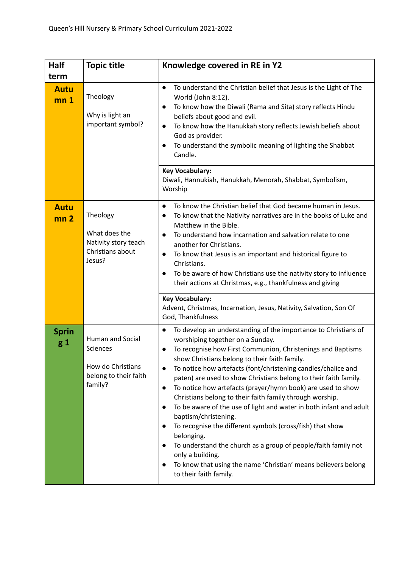| Half                                   | <b>Topic title</b>                                                                           | Knowledge covered in RE in Y2                                                                                                                                                                                                                                                                                                                                                                                                                                                                                                                                                                                                                                                                                                                                                                                                                                           |
|----------------------------------------|----------------------------------------------------------------------------------------------|-------------------------------------------------------------------------------------------------------------------------------------------------------------------------------------------------------------------------------------------------------------------------------------------------------------------------------------------------------------------------------------------------------------------------------------------------------------------------------------------------------------------------------------------------------------------------------------------------------------------------------------------------------------------------------------------------------------------------------------------------------------------------------------------------------------------------------------------------------------------------|
| term<br><b>Autu</b><br>mn <sub>1</sub> | Theology<br>Why is light an<br>important symbol?                                             | To understand the Christian belief that Jesus is the Light of The<br>$\bullet$<br>World (John 8:12).<br>To know how the Diwali (Rama and Sita) story reflects Hindu<br>beliefs about good and evil.<br>To know how the Hanukkah story reflects Jewish beliefs about<br>$\bullet$<br>God as provider.<br>To understand the symbolic meaning of lighting the Shabbat<br>Candle.<br><b>Key Vocabulary:</b><br>Diwali, Hannukiah, Hanukkah, Menorah, Shabbat, Symbolism,<br>Worship                                                                                                                                                                                                                                                                                                                                                                                         |
| <b>Autu</b><br>mn <sub>2</sub>         | Theology<br>What does the<br>Nativity story teach<br>Christians about<br>Jesus?              | To know the Christian belief that God became human in Jesus.<br>$\bullet$<br>To know that the Nativity narratives are in the books of Luke and<br>$\bullet$<br>Matthew in the Bible.<br>To understand how incarnation and salvation relate to one<br>$\bullet$<br>another for Christians.<br>To know that Jesus is an important and historical figure to<br>$\bullet$<br>Christians.<br>To be aware of how Christians use the nativity story to influence<br>their actions at Christmas, e.g., thankfulness and giving<br><b>Key Vocabulary:</b><br>Advent, Christmas, Incarnation, Jesus, Nativity, Salvation, Son Of<br>God, Thankfulness                                                                                                                                                                                                                             |
| <b>Sprin</b><br>$g_1$                  | Human and Social<br><b>Sciences</b><br>How do Christians<br>belong to their faith<br>family? | To develop an understanding of the importance to Christians of<br>$\bullet$<br>worshiping together on a Sunday.<br>To recognise how First Communion, Christenings and Baptisms<br>show Christians belong to their faith family.<br>To notice how artefacts (font/christening candles/chalice and<br>paten) are used to show Christians belong to their faith family.<br>To notice how artefacts (prayer/hymn book) are used to show<br>$\bullet$<br>Christians belong to their faith family through worship.<br>To be aware of the use of light and water in both infant and adult<br>baptism/christening.<br>To recognise the different symbols (cross/fish) that show<br>belonging.<br>To understand the church as a group of people/faith family not<br>only a building.<br>To know that using the name 'Christian' means believers belong<br>to their faith family. |